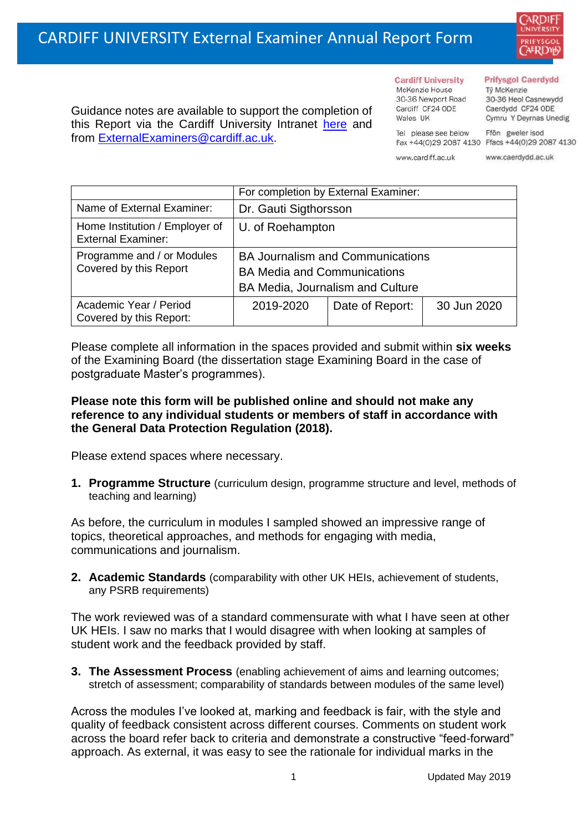

Guidance notes are available to support the completion of this Report via the Cardiff University Intranet [here](https://intranet.cardiff.ac.uk/staff/teaching-and-supporting-students/exams-and-assessment/exam-boards-and-external-examiners/for-current-external-examiners/external-examiners-reports) and from [ExternalExaminers@cardiff.ac.uk.](mailto:ExternalExaminers@cardiff.ac.uk)

#### **Prifysgol Caerdydd**

Từ McKenzie 30-36 Heol Casnewydd Caerdydd CF24 ODE Cymru Y Deyrnas Unedig

Tel please see below Fax +44(0)29 2087 4130 Ffacs +44(0)29 2087 4130 www.cardiff.ac.uk

**Cardiff University** 

30-36 Newport Road

McKenzie House

Cardiff CF24 ODE

Wales UK

www.caerdydd.ac.uk

Ffôn gweler isod

|                                                             | For completion by External Examiner:                                                                              |                 |             |  |  |
|-------------------------------------------------------------|-------------------------------------------------------------------------------------------------------------------|-----------------|-------------|--|--|
| Name of External Examiner:                                  | Dr. Gauti Sigthorsson                                                                                             |                 |             |  |  |
| Home Institution / Employer of<br><b>External Examiner:</b> | U. of Roehampton                                                                                                  |                 |             |  |  |
| Programme and / or Modules<br>Covered by this Report        | <b>BA Journalism and Communications</b><br><b>BA Media and Communications</b><br>BA Media, Journalism and Culture |                 |             |  |  |
| Academic Year / Period<br>Covered by this Report:           | 2019-2020                                                                                                         | Date of Report: | 30 Jun 2020 |  |  |

Please complete all information in the spaces provided and submit within **six weeks** of the Examining Board (the dissertation stage Examining Board in the case of postgraduate Master's programmes).

## **Please note this form will be published online and should not make any reference to any individual students or members of staff in accordance with the General Data Protection Regulation (2018).**

Please extend spaces where necessary.

**1. Programme Structure** (curriculum design, programme structure and level, methods of teaching and learning)

As before, the curriculum in modules I sampled showed an impressive range of topics, theoretical approaches, and methods for engaging with media, communications and journalism.

**2. Academic Standards** (comparability with other UK HEIs, achievement of students, any PSRB requirements)

The work reviewed was of a standard commensurate with what I have seen at other UK HEIs. I saw no marks that I would disagree with when looking at samples of student work and the feedback provided by staff.

**3. The Assessment Process** (enabling achievement of aims and learning outcomes; stretch of assessment; comparability of standards between modules of the same level)

Across the modules I've looked at, marking and feedback is fair, with the style and quality of feedback consistent across different courses. Comments on student work across the board refer back to criteria and demonstrate a constructive "feed-forward" approach. As external, it was easy to see the rationale for individual marks in the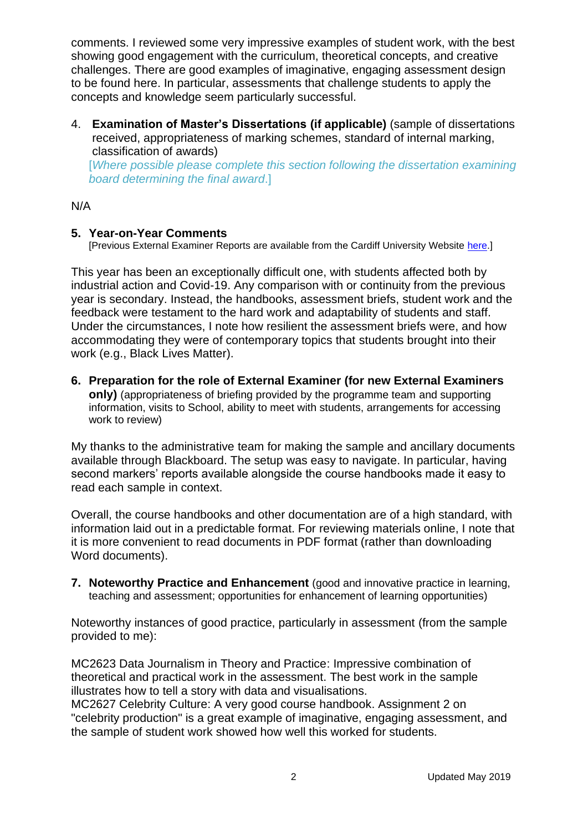comments. I reviewed some very impressive examples of student work, with the best showing good engagement with the curriculum, theoretical concepts, and creative challenges. There are good examples of imaginative, engaging assessment design to be found here. In particular, assessments that challenge students to apply the concepts and knowledge seem particularly successful.

4. **Examination of Master's Dissertations (if applicable)** (sample of dissertations received, appropriateness of marking schemes, standard of internal marking, classification of awards)

[*Where possible please complete this section following the dissertation examining board determining the final award*.]

### N/A

## **5. Year-on-Year Comments**

[Previous External Examiner Reports are available from the Cardiff University Website [here.](https://www.cardiff.ac.uk/public-information/quality-and-standards/external-examiner-reports)]

This year has been an exceptionally difficult one, with students affected both by industrial action and Covid-19. Any comparison with or continuity from the previous year is secondary. Instead, the handbooks, assessment briefs, student work and the feedback were testament to the hard work and adaptability of students and staff. Under the circumstances, I note how resilient the assessment briefs were, and how accommodating they were of contemporary topics that students brought into their work (e.g., Black Lives Matter).

**6. Preparation for the role of External Examiner (for new External Examiners**

**only)** (appropriateness of briefing provided by the programme team and supporting information, visits to School, ability to meet with students, arrangements for accessing work to review)

My thanks to the administrative team for making the sample and ancillary documents available through Blackboard. The setup was easy to navigate. In particular, having second markers' reports available alongside the course handbooks made it easy to read each sample in context.

Overall, the course handbooks and other documentation are of a high standard, with information laid out in a predictable format. For reviewing materials online, I note that it is more convenient to read documents in PDF format (rather than downloading Word documents).

**7. Noteworthy Practice and Enhancement** (good and innovative practice in learning, teaching and assessment; opportunities for enhancement of learning opportunities)

Noteworthy instances of good practice, particularly in assessment (from the sample provided to me):

MC2623 Data Journalism in Theory and Practice: Impressive combination of theoretical and practical work in the assessment. The best work in the sample illustrates how to tell a story with data and visualisations.

MC2627 Celebrity Culture: A very good course handbook. Assignment 2 on "celebrity production" is a great example of imaginative, engaging assessment, and the sample of student work showed how well this worked for students.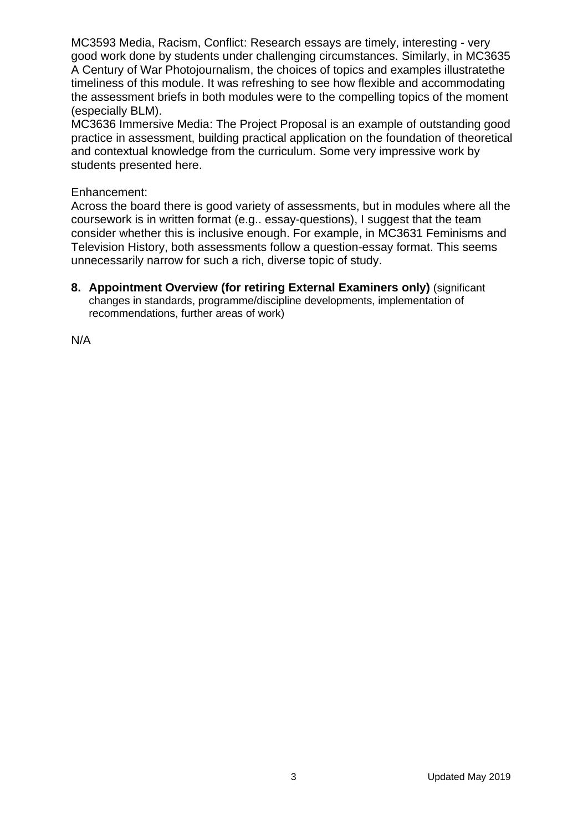MC3593 Media, Racism, Conflict: Research essays are timely, interesting - very good work done by students under challenging circumstances. Similarly, in MC3635 A Century of War Photojournalism, the choices of topics and examples illustratethe timeliness of this module. It was refreshing to see how flexible and accommodating the assessment briefs in both modules were to the compelling topics of the moment (especially BLM).

MC3636 Immersive Media: The Project Proposal is an example of outstanding good practice in assessment, building practical application on the foundation of theoretical and contextual knowledge from the curriculum. Some very impressive work by students presented here.

#### Enhancement:

Across the board there is good variety of assessments, but in modules where all the coursework is in written format (e.g.. essay-questions), I suggest that the team consider whether this is inclusive enough. For example, in MC3631 Feminisms and Television History, both assessments follow a question-essay format. This seems unnecessarily narrow for such a rich, diverse topic of study.

**8. Appointment Overview (for retiring External Examiners only)** (significant changes in standards, programme/discipline developments, implementation of recommendations, further areas of work)

N/A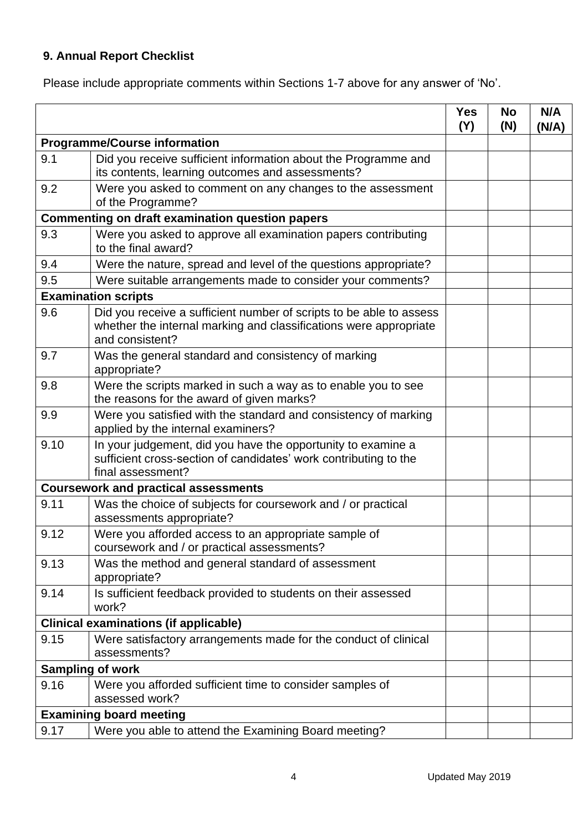# **9. Annual Report Checklist**

Please include appropriate comments within Sections 1-7 above for any answer of 'No'.

|                                                 |                                                                                                                                                             | <b>Yes</b><br>(Y) | <b>No</b><br>(N) | N/A<br>(N/A) |
|-------------------------------------------------|-------------------------------------------------------------------------------------------------------------------------------------------------------------|-------------------|------------------|--------------|
| <b>Programme/Course information</b>             |                                                                                                                                                             |                   |                  |              |
| 9.1                                             | Did you receive sufficient information about the Programme and<br>its contents, learning outcomes and assessments?                                          |                   |                  |              |
| 9.2                                             | Were you asked to comment on any changes to the assessment<br>of the Programme?                                                                             |                   |                  |              |
| Commenting on draft examination question papers |                                                                                                                                                             |                   |                  |              |
| 9.3                                             | Were you asked to approve all examination papers contributing<br>to the final award?                                                                        |                   |                  |              |
| 9.4                                             | Were the nature, spread and level of the questions appropriate?                                                                                             |                   |                  |              |
| 9.5                                             | Were suitable arrangements made to consider your comments?                                                                                                  |                   |                  |              |
| <b>Examination scripts</b>                      |                                                                                                                                                             |                   |                  |              |
| 9.6                                             | Did you receive a sufficient number of scripts to be able to assess<br>whether the internal marking and classifications were appropriate<br>and consistent? |                   |                  |              |
| 9.7                                             | Was the general standard and consistency of marking<br>appropriate?                                                                                         |                   |                  |              |
| 9.8                                             | Were the scripts marked in such a way as to enable you to see<br>the reasons for the award of given marks?                                                  |                   |                  |              |
| 9.9                                             | Were you satisfied with the standard and consistency of marking<br>applied by the internal examiners?                                                       |                   |                  |              |
| 9.10                                            | In your judgement, did you have the opportunity to examine a<br>sufficient cross-section of candidates' work contributing to the<br>final assessment?       |                   |                  |              |
| <b>Coursework and practical assessments</b>     |                                                                                                                                                             |                   |                  |              |
| 9.11                                            | Was the choice of subjects for coursework and / or practical<br>assessments appropriate?                                                                    |                   |                  |              |
| 9.12                                            | Were you afforded access to an appropriate sample of<br>coursework and / or practical assessments?                                                          |                   |                  |              |
| 9.13                                            | Was the method and general standard of assessment<br>appropriate?                                                                                           |                   |                  |              |
| 9.14                                            | Is sufficient feedback provided to students on their assessed<br>work?                                                                                      |                   |                  |              |
|                                                 | <b>Clinical examinations (if applicable)</b>                                                                                                                |                   |                  |              |
| 9.15                                            | Were satisfactory arrangements made for the conduct of clinical<br>assessments?                                                                             |                   |                  |              |
|                                                 | <b>Sampling of work</b>                                                                                                                                     |                   |                  |              |
| 9.16                                            | Were you afforded sufficient time to consider samples of<br>assessed work?                                                                                  |                   |                  |              |
|                                                 | <b>Examining board meeting</b>                                                                                                                              |                   |                  |              |
| 9.17                                            | Were you able to attend the Examining Board meeting?                                                                                                        |                   |                  |              |